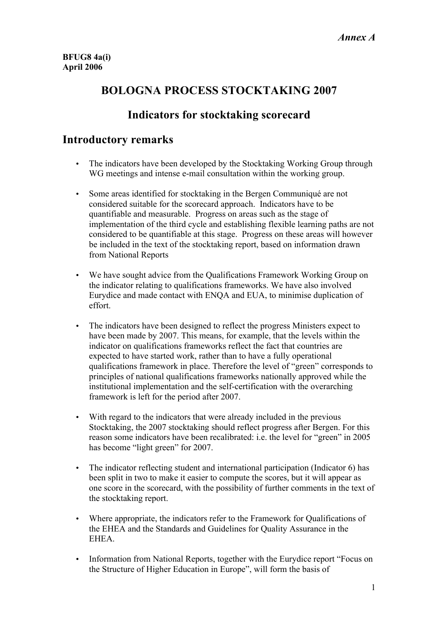## **BOLOGNA PROCESS STOCKTAKING 2007**

## **Indicators for stocktaking scorecard**

### **Introductory remarks**

- The indicators have been developed by the Stocktaking Working Group through WG meetings and intense e-mail consultation within the working group.
- Some areas identified for stocktaking in the Bergen Communiqué are not considered suitable for the scorecard approach. Indicators have to be quantifiable and measurable. Progress on areas such as the stage of implementation of the third cycle and establishing flexible learning paths are not considered to be quantifiable at this stage. Progress on these areas will however be included in the text of the stocktaking report, based on information drawn from National Reports
- We have sought advice from the Qualifications Framework Working Group on the indicator relating to qualifications frameworks. We have also involved Eurydice and made contact with ENQA and EUA, to minimise duplication of effort.
- The indicators have been designed to reflect the progress Ministers expect to have been made by 2007. This means, for example, that the levels within the indicator on qualifications frameworks reflect the fact that countries are expected to have started work, rather than to have a fully operational qualifications framework in place. Therefore the level of "green" corresponds to principles of national qualifications frameworks nationally approved while the institutional implementation and the self-certification with the overarching framework is left for the period after 2007.
- With regard to the indicators that were already included in the previous Stocktaking, the 2007 stocktaking should reflect progress after Bergen. For this reason some indicators have been recalibrated: i.e. the level for "green" in 2005 has become "light green" for 2007.
- The indicator reflecting student and international participation (Indicator 6) has been split in two to make it easier to compute the scores, but it will appear as one score in the scorecard, with the possibility of further comments in the text of the stocktaking report.
- Where appropriate, the indicators refer to the Framework for Qualifications of the EHEA and the Standards and Guidelines for Quality Assurance in the **EHEA**
- Information from National Reports, together with the Eurydice report "Focus on the Structure of Higher Education in Europe", will form the basis of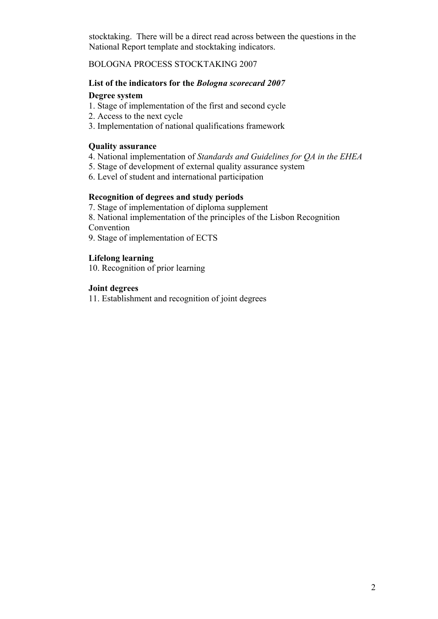stocktaking. There will be a direct read across between the questions in the National Report template and stocktaking indicators.

#### BOLOGNA PROCESS STOCKTAKING 2007

#### **List of the indicators for the** *Bologna scorecard 2007*

#### **Degree system**

- 1. Stage of implementation of the first and second cycle
- 2. Access to the next cycle
- 3. Implementation of national qualifications framework

#### **Quality assurance**

- 4. National implementation of *Standards and Guidelines for QA in the EHEA*
- 5. Stage of development of external quality assurance system
- 6. Level of student and international participation

#### **Recognition of degrees and study periods**

- 7. Stage of implementation of diploma supplement
- 8. National implementation of the principles of the Lisbon Recognition

Convention

9. Stage of implementation of ECTS

#### **Lifelong learning**

10. Recognition of prior learning

#### **Joint degrees**

11. Establishment and recognition of joint degrees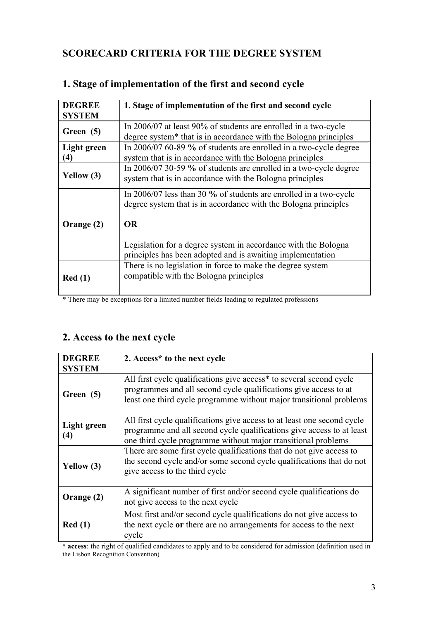### **SCORECARD CRITERIA FOR THE DEGREE SYSTEM**

| <b>DEGREE</b> | 1. Stage of implementation of the first and second cycle                                                                               |
|---------------|----------------------------------------------------------------------------------------------------------------------------------------|
| <b>SYSTEM</b> |                                                                                                                                        |
| Green (5)     | In 2006/07 at least 90% of students are enrolled in a two-cycle                                                                        |
|               | degree system* that is in accordance with the Bologna principles                                                                       |
| Light green   | In 2006/07 60-89 % of students are enrolled in a two-cycle degree                                                                      |
| $\bf(4)$      | system that is in accordance with the Bologna principles                                                                               |
|               | In 2006/07 30-59 % of students are enrolled in a two-cycle degree                                                                      |
| Yellow $(3)$  | system that is in accordance with the Bologna principles                                                                               |
|               | In $2006/07$ less than 30 % of students are enrolled in a two-cycle<br>degree system that is in accordance with the Bologna principles |
| Orange (2)    | <b>OR</b>                                                                                                                              |
|               | Legislation for a degree system in accordance with the Bologna                                                                         |
|               | principles has been adopted and is awaiting implementation                                                                             |
|               | There is no legislation in force to make the degree system                                                                             |
| Red(1)        | compatible with the Bologna principles                                                                                                 |
|               |                                                                                                                                        |

#### **1. Stage of implementation of the first and second cycle**

\* There may be exceptions for a limited number fields leading to regulated professions

## **2. Access to the next cycle**

| <b>DEGREE</b><br><b>SYSTEM</b> | 2. Access* to the next cycle                                                                                                                                                                                      |
|--------------------------------|-------------------------------------------------------------------------------------------------------------------------------------------------------------------------------------------------------------------|
| Green (5)                      | All first cycle qualifications give access* to several second cycle<br>programmes and all second cycle qualifications give access to at<br>least one third cycle programme without major transitional problems    |
| Light green<br>(4)             | All first cycle qualifications give access to at least one second cycle<br>programme and all second cycle qualifications give access to at least<br>one third cycle programme without major transitional problems |
| Yellow (3)                     | There are some first cycle qualifications that do not give access to<br>the second cycle and/or some second cycle qualifications that do not<br>give access to the third cycle                                    |
| Orange (2)                     | A significant number of first and/or second cycle qualifications do<br>not give access to the next cycle                                                                                                          |
| Red(1)                         | Most first and/or second cycle qualifications do not give access to<br>the next cycle or there are no arrangements for access to the next<br>cycle                                                                |

\* **access**: the right of qualified candidates to apply and to be considered for admission (definition used in the Lisbon Recognition Convention)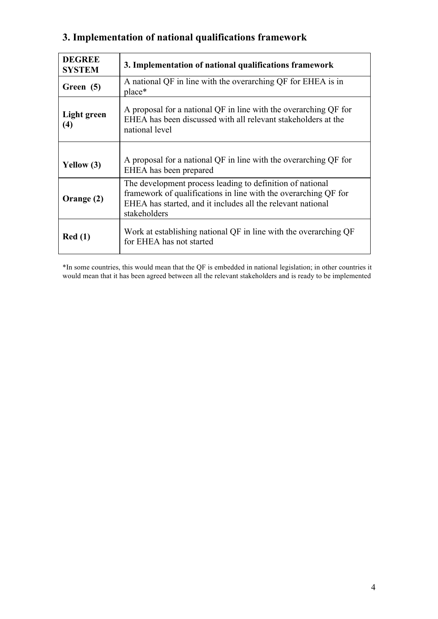# **3. Implementation of national qualifications framework**

| <b>DEGREE</b><br><b>SYSTEM</b> | 3. Implementation of national qualifications framework                                                                                                                                                      |
|--------------------------------|-------------------------------------------------------------------------------------------------------------------------------------------------------------------------------------------------------------|
| Green (5)                      | A national QF in line with the overarching QF for EHEA is in<br>place*                                                                                                                                      |
| Light green<br>(4)             | A proposal for a national QF in line with the overarching QF for<br>EHEA has been discussed with all relevant stakeholders at the<br>national level                                                         |
| Yellow $(3)$                   | A proposal for a national QF in line with the overarching QF for<br>EHEA has been prepared                                                                                                                  |
| Orange (2)                     | The development process leading to definition of national<br>framework of qualifications in line with the overarching QF for<br>EHEA has started, and it includes all the relevant national<br>stakeholders |
| Red(1)                         | Work at establishing national QF in line with the overarching QF<br>for EHEA has not started                                                                                                                |

\*In some countries, this would mean that the QF is embedded in national legislation; in other countries it would mean that it has been agreed between all the relevant stakeholders and is ready to be implemented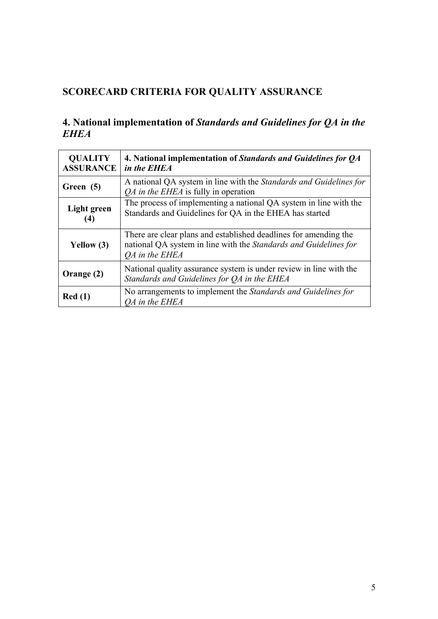# **SCORECARD CRITERIA FOR QUALITY ASSURANCE**

### **4. National implementation of** *Standards and Guidelines for QA in the EHEA*

| <b>QUALITY</b><br><b>ASSURANCE</b> | 4. National implementation of Standards and Guidelines for QA<br>in the EHEA                                                                                  |
|------------------------------------|---------------------------------------------------------------------------------------------------------------------------------------------------------------|
| Green (5)                          | A national QA system in line with the Standards and Guidelines for<br><i>QA in the EHEA</i> is fully in operation                                             |
| Light green<br>(4)                 | The process of implementing a national QA system in line with the<br>Standards and Guidelines for QA in the EHEA has started                                  |
| Yellow (3)                         | There are clear plans and established deadlines for amending the<br>national QA system in line with the Standards and Guidelines for<br><i>OA</i> in the EHEA |
| Orange (2)                         | National quality assurance system is under review in line with the<br>Standards and Guidelines for QA in the EHEA                                             |
| Red(1)                             | No arrangements to implement the <i>Standards and Guidelines for</i><br><i>OA</i> in the EHEA                                                                 |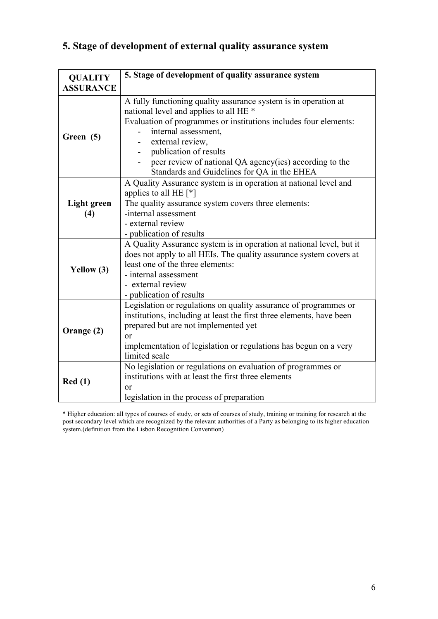# **5. Stage of development of external quality assurance system**

| <b>QUALITY</b>            | 5. Stage of development of quality assurance system                                                                                                                                                                                                                                                                                                           |
|---------------------------|---------------------------------------------------------------------------------------------------------------------------------------------------------------------------------------------------------------------------------------------------------------------------------------------------------------------------------------------------------------|
| <b>ASSURANCE</b>          |                                                                                                                                                                                                                                                                                                                                                               |
| Green (5)                 | A fully functioning quality assurance system is in operation at<br>national level and applies to all HE *<br>Evaluation of programmes or institutions includes four elements:<br>internal assessment,<br>external review,<br>publication of results<br>peer review of national QA agency(ies) according to the<br>Standards and Guidelines for QA in the EHEA |
| <b>Light green</b><br>(4) | A Quality Assurance system is in operation at national level and<br>applies to all HE $[*]$<br>The quality assurance system covers three elements:<br>-internal assessment<br>- external review<br>- publication of results                                                                                                                                   |
| Yellow (3)                | A Quality Assurance system is in operation at national level, but it<br>does not apply to all HEIs. The quality assurance system covers at<br>least one of the three elements:<br>- internal assessment<br>- external review<br>- publication of results                                                                                                      |
| Orange (2)                | Legislation or regulations on quality assurance of programmes or<br>institutions, including at least the first three elements, have been<br>prepared but are not implemented yet<br><b>or</b><br>implementation of legislation or regulations has begun on a very<br>limited scale                                                                            |
| Red(1)                    | No legislation or regulations on evaluation of programmes or<br>institutions with at least the first three elements<br><sub>or</sub><br>legislation in the process of preparation                                                                                                                                                                             |

\* Higher education: all types of courses of study, or sets of courses of study, training or training for research at the post secondary level which are recognized by the relevant authorities of a Party as belonging to its higher education system.(definition from the Lisbon Recognition Convention)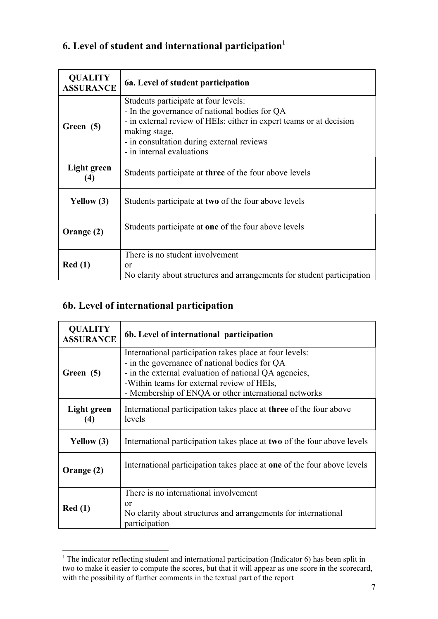## **6. Level of student and international participation1**

| <b>QUALITY</b><br><b>ASSURANCE</b> | 6a. Level of student participation                                                                                                                                                                                                                      |
|------------------------------------|---------------------------------------------------------------------------------------------------------------------------------------------------------------------------------------------------------------------------------------------------------|
| Green (5)                          | Students participate at four levels:<br>- In the governance of national bodies for QA<br>- in external review of HEIs: either in expert teams or at decision<br>making stage,<br>- in consultation during external reviews<br>- in internal evaluations |
| Light green<br>(4)                 | Students participate at <b>three</b> of the four above levels                                                                                                                                                                                           |
| Yellow (3)                         | Students participate at two of the four above levels                                                                                                                                                                                                    |
| Orange (2)                         | Students participate at one of the four above levels                                                                                                                                                                                                    |
| Red(1)                             | There is no student involvement<br>or<br>No clarity about structures and arrangements for student participation                                                                                                                                         |

# **6b. Level of international participation**

| <b>QUALITY</b><br><b>ASSURANCE</b> | 6b. Level of international participation                                                                                                                                                                                                                                |
|------------------------------------|-------------------------------------------------------------------------------------------------------------------------------------------------------------------------------------------------------------------------------------------------------------------------|
| Green (5)                          | International participation takes place at four levels:<br>- in the governance of national bodies for QA<br>- in the external evaluation of national QA agencies,<br>-Within teams for external review of HEIs,<br>- Membership of ENQA or other international networks |
| Light green<br>(4)                 | International participation takes place at <b>three</b> of the four above<br>levels                                                                                                                                                                                     |
| Yellow (3)                         | International participation takes place at two of the four above levels                                                                                                                                                                                                 |
| Orange (2)                         | International participation takes place at one of the four above levels                                                                                                                                                                                                 |
| Red(1)                             | There is no international involvement<br>or<br>No clarity about structures and arrangements for international<br>participation                                                                                                                                          |

<sup>&</sup>lt;sup>1</sup> The indicator reflecting student and international participation (Indicator 6) has been split in two to make it easier to compute the scores, but that it will appear as one score in the scorecard, with the possibility of further comments in the textual part of the report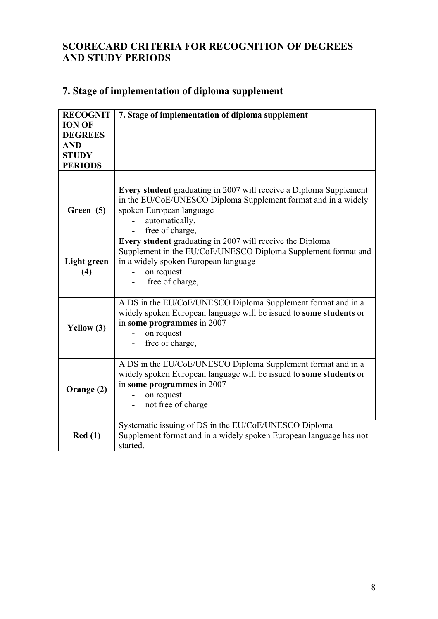### **SCORECARD CRITERIA FOR RECOGNITION OF DEGREES AND STUDY PERIODS**

# **7. Stage of implementation of diploma supplement**

| <b>RECOGNIT</b><br><b>ION OF</b>                               | 7. Stage of implementation of diploma supplement                                                                                                                                                                              |
|----------------------------------------------------------------|-------------------------------------------------------------------------------------------------------------------------------------------------------------------------------------------------------------------------------|
| <b>DEGREES</b><br><b>AND</b><br><b>STUDY</b><br><b>PERIODS</b> |                                                                                                                                                                                                                               |
| Green (5)                                                      | <b>Every student</b> graduating in 2007 will receive a Diploma Supplement<br>in the EU/CoE/UNESCO Diploma Supplement format and in a widely<br>spoken European language<br>automatically,<br>free of charge,                  |
| <b>Light green</b><br>(4)                                      | Every student graduating in 2007 will receive the Diploma<br>Supplement in the EU/CoE/UNESCO Diploma Supplement format and<br>in a widely spoken European language<br>on request<br>free of charge,                           |
| Yellow (3)                                                     | A DS in the EU/CoE/UNESCO Diploma Supplement format and in a<br>widely spoken European language will be issued to some students or<br>in some programmes in 2007<br>on request<br>free of charge,<br>$\overline{\phantom{0}}$ |
| Orange (2)                                                     | A DS in the EU/CoE/UNESCO Diploma Supplement format and in a<br>widely spoken European language will be issued to some students or<br>in some programmes in 2007<br>on request<br>not free of charge                          |
| Red(1)                                                         | Systematic issuing of DS in the EU/CoE/UNESCO Diploma<br>Supplement format and in a widely spoken European language has not<br>started.                                                                                       |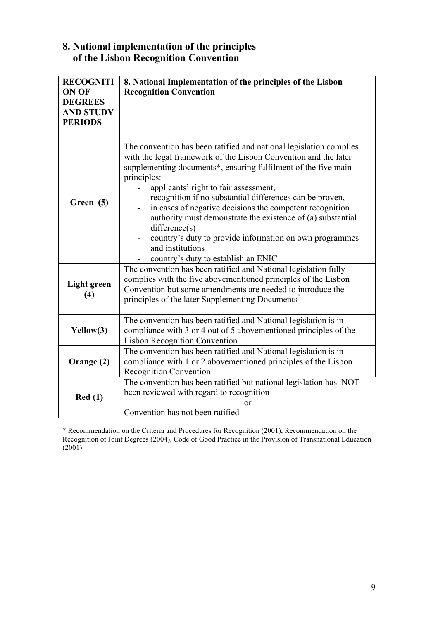### **8. National implementation of the principles of the Lisbon Recognition Convention**

| <b>RECOGNITI</b><br>ON OF<br><b>DEGREES</b><br><b>AND STUDY</b><br><b>PERIODS</b> | 8. National Implementation of the principles of the Lisbon<br><b>Recognition Convention</b>                                                                                                                                                                                                                                                                                                                                                                                                                                                                                                                                                                                                                                        |
|-----------------------------------------------------------------------------------|------------------------------------------------------------------------------------------------------------------------------------------------------------------------------------------------------------------------------------------------------------------------------------------------------------------------------------------------------------------------------------------------------------------------------------------------------------------------------------------------------------------------------------------------------------------------------------------------------------------------------------------------------------------------------------------------------------------------------------|
| Green (5)                                                                         | The convention has been ratified and national legislation complies<br>with the legal framework of the Lisbon Convention and the later<br>supplementing documents*, ensuring fulfilment of the five main<br>principles:<br>applicants' right to fair assessment,<br>recognition if no substantial differences can be proven,<br>in cases of negative decisions the competent recognition<br>authority must demonstrate the existence of (a) substantial<br>difference(s)<br>country's duty to provide information on own programmes<br>and institutions<br>country's duty to establish an ENIC<br>The convention has been ratified and National legislation fully<br>complies with the five abovementioned principles of the Lisbon |
| <b>Light green</b><br>(4)                                                         | Convention but some amendments are needed to introduce the<br>principles of the later Supplementing Documents <sup>3</sup>                                                                                                                                                                                                                                                                                                                                                                                                                                                                                                                                                                                                         |
| Yellow(3)                                                                         | The convention has been ratified and National legislation is in<br>compliance with 3 or 4 out of 5 abovementioned principles of the<br><b>Lisbon Recognition Convention</b>                                                                                                                                                                                                                                                                                                                                                                                                                                                                                                                                                        |
| Orange (2)                                                                        | The convention has been ratified and National legislation is in<br>compliance with 1 or 2 abovementioned principles of the Lisbon<br><b>Recognition Convention</b>                                                                                                                                                                                                                                                                                                                                                                                                                                                                                                                                                                 |
| Red(1)                                                                            | The convention has been ratified but national legislation has NOT<br>been reviewed with regard to recognition<br>or<br>Convention has not been ratified                                                                                                                                                                                                                                                                                                                                                                                                                                                                                                                                                                            |

\* Recommendation on the Criteria and Procedures for Recognition (2001), Recommendation on the Recognition of Joint Degrees (2004), Code of Good Practice in the Provision of Transnational Education  $(2001)$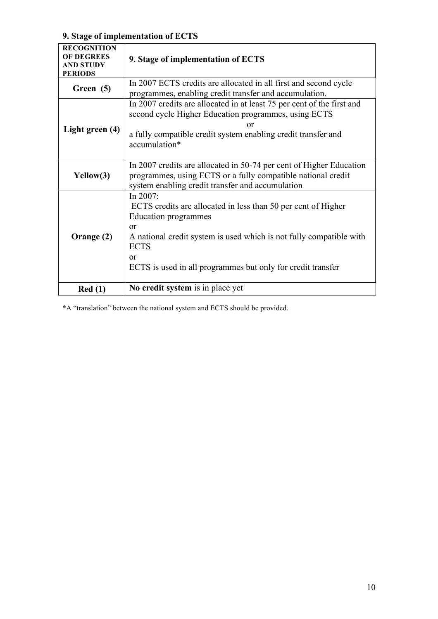## **9. Stage of implementation of ECTS**

| <b>RECOGNITION</b><br><b>OF DEGREES</b><br><b>AND STUDY</b><br><b>PERIODS</b> | 9. Stage of implementation of ECTS                                                                                                                                                                                                                                                |
|-------------------------------------------------------------------------------|-----------------------------------------------------------------------------------------------------------------------------------------------------------------------------------------------------------------------------------------------------------------------------------|
| Green (5)                                                                     | In 2007 ECTS credits are allocated in all first and second cycle<br>programmes, enabling credit transfer and accumulation.                                                                                                                                                        |
| Light green (4)                                                               | In 2007 credits are allocated in at least 75 per cent of the first and<br>second cycle Higher Education programmes, using ECTS<br>or<br>a fully compatible credit system enabling credit transfer and<br>accumulation*                                                            |
| Yellow(3)                                                                     | In 2007 credits are allocated in 50-74 per cent of Higher Education<br>programmes, using ECTS or a fully compatible national credit<br>system enabling credit transfer and accumulation                                                                                           |
| Orange (2)                                                                    | In $2007$ :<br>ECTS credits are allocated in less than 50 per cent of Higher<br>Education programmes<br>$\alpha$<br>A national credit system is used which is not fully compatible with<br><b>ECTS</b><br>$\alpha$<br>ECTS is used in all programmes but only for credit transfer |
| Red(1)                                                                        | No credit system is in place yet                                                                                                                                                                                                                                                  |

\*A "translation" between the national system and ECTS should be provided.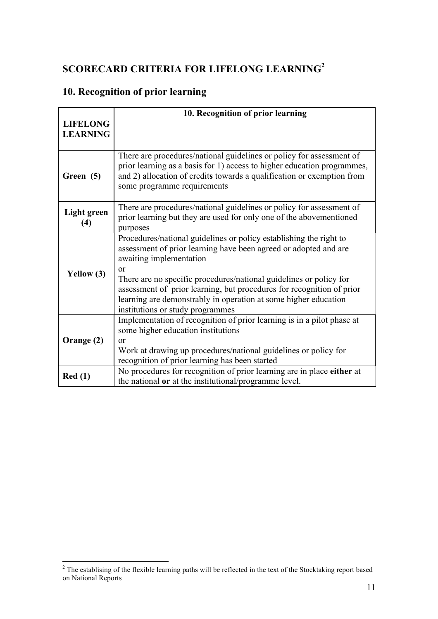# **SCORECARD CRITERIA FOR LIFELONG LEARNING<sup>2</sup>**

# **10. Recognition of prior learning**

|                                    | 10. Recognition of prior learning                                                                                                                                                                                                                                                                                                                                                                                                        |
|------------------------------------|------------------------------------------------------------------------------------------------------------------------------------------------------------------------------------------------------------------------------------------------------------------------------------------------------------------------------------------------------------------------------------------------------------------------------------------|
| <b>LIFELONG</b><br><b>LEARNING</b> |                                                                                                                                                                                                                                                                                                                                                                                                                                          |
| Green (5)                          | There are procedures/national guidelines or policy for assessment of<br>prior learning as a basis for 1) access to higher education programmes,<br>and 2) allocation of credits towards a qualification or exemption from<br>some programme requirements                                                                                                                                                                                 |
| <b>Light green</b><br>(4)          | There are procedures/national guidelines or policy for assessment of<br>prior learning but they are used for only one of the abovementioned<br>purposes                                                                                                                                                                                                                                                                                  |
| Yellow $(3)$                       | Procedures/national guidelines or policy establishing the right to<br>assessment of prior learning have been agreed or adopted and are<br>awaiting implementation<br><sub>or</sub><br>There are no specific procedures/national guidelines or policy for<br>assessment of prior learning, but procedures for recognition of prior<br>learning are demonstrably in operation at some higher education<br>institutions or study programmes |
| Orange (2)                         | Implementation of recognition of prior learning is in a pilot phase at<br>some higher education institutions<br>$\alpha$<br>Work at drawing up procedures/national guidelines or policy for<br>recognition of prior learning has been started                                                                                                                                                                                            |
| Red(1)                             | No procedures for recognition of prior learning are in place either at<br>the national or at the institutional/programme level.                                                                                                                                                                                                                                                                                                          |

<sup>&</sup>lt;sup>2</sup> The establising of the flexible learning paths will be reflected in the text of the Stocktaking report based on National Reports